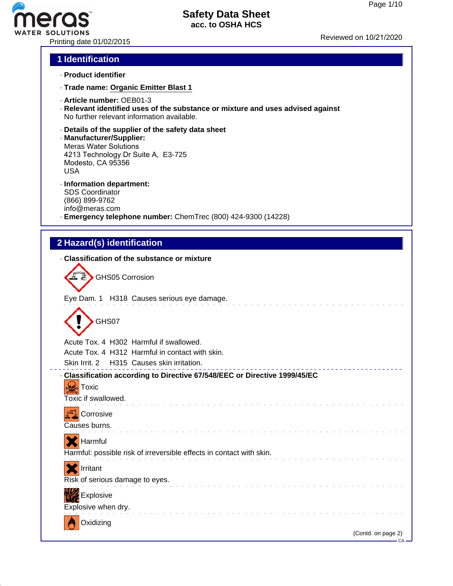# ero ATER SOLUTIONS<br>Printing date 01/02/2015 Printing date 01/02/2015

# **Safety Data Sheet acc. to OSHA HCS**

# **1 Identification**

- · **Product identifier**
- · **Trade name: Organic Emitter Blast 1**
- · **Article number:** OEB01-3
- · **Relevant identified uses of the substance or mixture and uses advised against** No further relevant information available.
- · **Details of the supplier of the safety data sheet**
- · **Manufacturer/Supplier:** Meras Water Solutions 4213 Technology Dr Suite A, E3-725 Modesto, CA 95356 USA
- · **Information department:** SDS Coordinator (866) 899-9762 info@meras.com
- · **Emergency telephone number:** ChemTrec (800) 424-9300 (14228)

# **2 Hazard(s) identification**

 $\overline{a}$ 

| · Classification of the substance or mixture                                                                      |
|-------------------------------------------------------------------------------------------------------------------|
| <b>GHS05 Corrosion</b>                                                                                            |
| Eye Dam. 1 H318 Causes serious eye damage.                                                                        |
| GHS07                                                                                                             |
| Acute Tox. 4 H302 Harmful if swallowed.                                                                           |
| Acute Tox, 4 H312 Harmful in contact with skin.                                                                   |
| Skin Irrit. 2 H315 Causes skin irritation.                                                                        |
| · Classification according to Directive 67/548/EEC or Directive 1999/45/EC<br><b>Foxic</b><br>Toxic if swallowed. |
| Corrosive<br>Causes burns.                                                                                        |
| Harmful<br>Harmful: possible risk of irreversible effects in contact with skin.                                   |
| Irritant                                                                                                          |
| Risk of serious damage to eyes.                                                                                   |
| Explosive                                                                                                         |
| Explosive when dry.                                                                                               |
| Oxidizing<br>(Contd. on page 2)                                                                                   |
| – CA –                                                                                                            |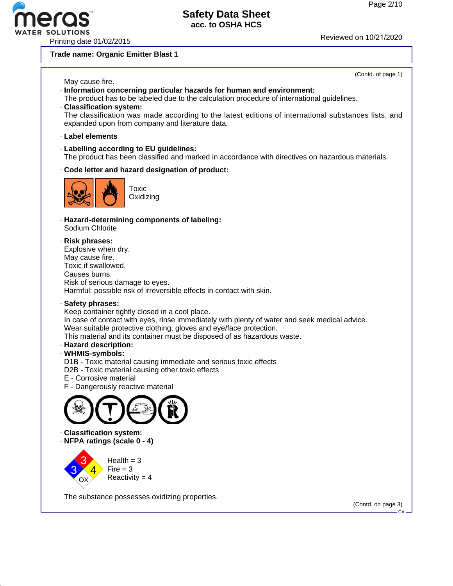# Printing date 01/02/2015 Reviewed on 10/21/20<sup>20</sup>

# **Safety Data Sheet acc. to OSHA HCS**

**Trade name: Organic Emitter Blast 1**



The substance possesses oxidizing properties.

(Contd. on page 3)

CA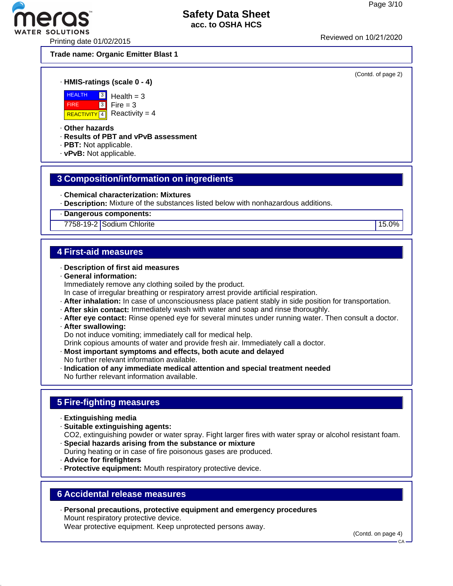(Contd. of page 2)

# **Safety Data Sheet acc. to OSHA HCS**

Printing date 01/02/2015 Reviewed on 10/21/20<sup>20</sup>

**ER SOLUTIONS** 

**Trade name: Organic Emitter Blast 1**

· **HMIS-ratings (scale 0 - 4)**



3 Health  $= 3$  $Fire = 3$ Reactivity  $= 4$ 

· **Other hazards**

- · **Results of PBT and vPvB assessment**
- · **PBT:** Not applicable.
- · **vPvB:** Not applicable.

# **3 Composition/information on ingredients**

- · **Chemical characterization: Mixtures**
- · **Description:** Mixture of the substances listed below with nonhazardous additions.

· **Dangerous components:**

7758-19-2 Sodium Chlorite 15.0%

# **4 First-aid measures**

- · **Description of first aid measures**
- · **General information:** Immediately remove any clothing soiled by the product. In case of irregular breathing or respiratory arrest provide artificial respiration.
- · **After inhalation:** In case of unconsciousness place patient stably in side position for transportation.
- · **After skin contact:** Immediately wash with water and soap and rinse thoroughly.
- · **After eye contact:** Rinse opened eye for several minutes under running water. Then consult a doctor.
- · **After swallowing:**

Do not induce vomiting; immediately call for medical help.

- Drink copious amounts of water and provide fresh air. Immediately call a doctor.
- · **Most important symptoms and effects, both acute and delayed** No further relevant information available.
- · **Indication of any immediate medical attention and special treatment needed** No further relevant information available.

# **5 Fire-fighting measures**

- · **Extinguishing media**
- · **Suitable extinguishing agents:**
- CO2, extinguishing powder or water spray. Fight larger fires with water spray or alcohol resistant foam. · **Special hazards arising from the substance or mixture**
- During heating or in case of fire poisonous gases are produced.
- · **Advice for firefighters**
- · **Protective equipment:** Mouth respiratory protective device.

# **6 Accidental release measures**

· **Personal precautions, protective equipment and emergency procedures** Mount respiratory protective device. Wear protective equipment. Keep unprotected persons away.

(Contd. on page 4)

**CA**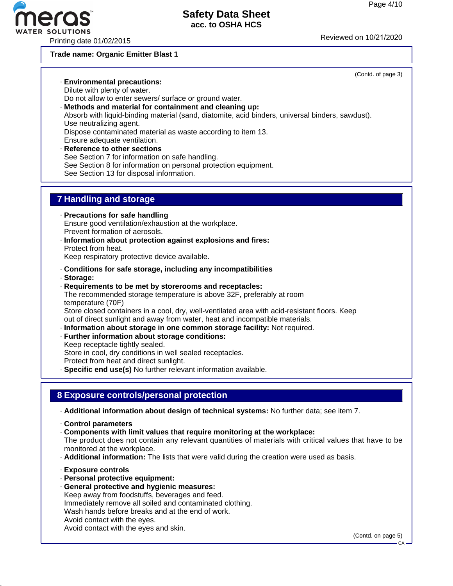

#### **Trade name: Organic Emitter Blast 1**

#### (Contd. of page 3) · **Environmental precautions:** Dilute with plenty of water. Do not allow to enter sewers/ surface or ground water. · **Methods and material for containment and cleaning up:** Absorb with liquid-binding material (sand, diatomite, acid binders, universal binders, sawdust). Use neutralizing agent. Dispose contaminated material as waste according to item 13.

Ensure adequate ventilation.

· **Reference to other sections** See Section 7 for information on safe handling. See Section 8 for information on personal protection equipment. See Section 13 for disposal information.

# **7 Handling and storage**

- · **Precautions for safe handling** Ensure good ventilation/exhaustion at the workplace. Prevent formation of aerosols.
- · **Information about protection against explosions and fires:** Protect from heat. Keep respiratory protective device available.
- · **Conditions for safe storage, including any incompatibilities**
- · **Storage:**
- · **Requirements to be met by storerooms and receptacles:** The recommended storage temperature is above 32F, preferably at room temperature (70F) Store closed containers in a cool, dry, well-ventilated area with acid-resistant floors. Keep out of direct sunlight and away from water, heat and incompatible materials.
- · **Information about storage in one common storage facility:** Not required.
- · **Further information about storage conditions:**
- Keep receptacle tightly sealed. Store in cool, dry conditions in well sealed receptacles. Protect from heat and direct sunlight.
- · **Specific end use(s)** No further relevant information available.

#### **8 Exposure controls/personal protection**

- · **Additional information about design of technical systems:** No further data; see item 7.
- · **Control parameters**
- · **Components with limit values that require monitoring at the workplace:**

The product does not contain any relevant quantities of materials with critical values that have to be monitored at the workplace.

- · **Additional information:** The lists that were valid during the creation were used as basis.
- · **Exposure controls**
- · **Personal protective equipment:**
- · **General protective and hygienic measures:**

Keep away from foodstuffs, beverages and feed. Immediately remove all soiled and contaminated clothing. Wash hands before breaks and at the end of work. Avoid contact with the eyes. Avoid contact with the eyes and skin.

(Contd. on page 5)

CA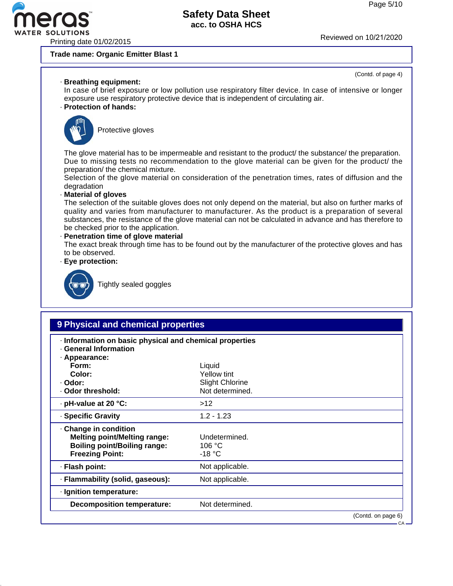(Contd. of page 4)



# **Safety Data Sheet acc. to OSHA HCS**

**Trade name: Organic Emitter Blast 1**

#### · **Breathing equipment:**

In case of brief exposure or low pollution use respiratory filter device. In case of intensive or longer exposure use respiratory protective device that is independent of circulating air.

#### · **Protection of hands:**



Protective gloves

The glove material has to be impermeable and resistant to the product/ the substance/ the preparation. Due to missing tests no recommendation to the glove material can be given for the product/ the preparation/ the chemical mixture.

Selection of the glove material on consideration of the penetration times, rates of diffusion and the degradation

#### · **Material of gloves**

The selection of the suitable gloves does not only depend on the material, but also on further marks of quality and varies from manufacturer to manufacturer. As the product is a preparation of several substances, the resistance of the glove material can not be calculated in advance and has therefore to be checked prior to the application.

# · **Penetration time of glove material**

The exact break through time has to be found out by the manufacturer of the protective gloves and has to be observed.

· **Eye protection:**



Tightly sealed goggles

### **9 Physical and chemical properties**

- · **Information on basic physical and chemical properties**
- · **General Information**

| · Appearance:                                                                                                                 |                                     |                    |
|-------------------------------------------------------------------------------------------------------------------------------|-------------------------------------|--------------------|
| Form:                                                                                                                         | Liquid                              |                    |
| Color:                                                                                                                        | Yellow tint                         |                    |
| · Odor:                                                                                                                       | <b>Slight Chlorine</b>              |                    |
| . Odor threshold:                                                                                                             | Not determined.                     |                    |
| $\cdot$ pH-value at 20 $\degree$ C:                                                                                           | >12                                 |                    |
| · Specific Gravity                                                                                                            | $1.2 - 1.23$                        |                    |
| · Change in condition<br><b>Melting point/Melting range:</b><br><b>Boiling point/Boiling range:</b><br><b>Freezing Point:</b> | Undetermined.<br>106 °C<br>$-18 °C$ |                    |
| · Flash point:                                                                                                                | Not applicable.                     |                    |
| · Flammability (solid, gaseous):                                                                                              | Not applicable.                     |                    |
| · Ignition temperature:                                                                                                       |                                     |                    |
| <b>Decomposition temperature:</b>                                                                                             | Not determined.                     |                    |
|                                                                                                                               |                                     | (Contd. on page 6) |

CA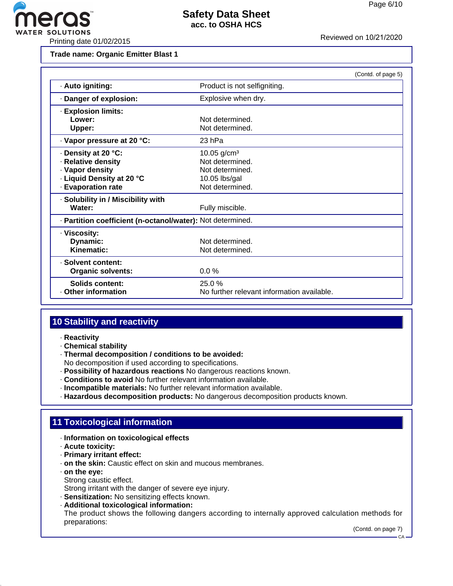

**Trade name: Organic Emitter Blast 1**

|                                                            |                                            | (Contd. of page 5) |
|------------------------------------------------------------|--------------------------------------------|--------------------|
| · Auto igniting:                                           | Product is not selfigniting.               |                    |
| Danger of explosion:                                       | Explosive when dry.                        |                    |
| <b>Explosion limits:</b>                                   |                                            |                    |
| Lower:                                                     | Not determined.                            |                    |
| Upper:                                                     | Not determined.                            |                    |
| Vapor pressure at 20 °C:                                   | 23 hPa                                     |                    |
| Density at 20 °C:                                          | 10.05 $g/cm^{3}$                           |                    |
| · Relative density                                         | Not determined.                            |                    |
| · Vapor density                                            | Not determined.                            |                    |
| - Liquid Density at 20 °C                                  | 10.05 lbs/gal                              |                    |
| · Evaporation rate                                         | Not determined.                            |                    |
| · Solubility in / Miscibility with                         |                                            |                    |
| Water:                                                     | Fully miscible.                            |                    |
| · Partition coefficient (n-octanol/water): Not determined. |                                            |                    |
| · Viscosity:                                               |                                            |                    |
| Dynamic:                                                   | Not determined.                            |                    |
| Kinematic:                                                 | Not determined.                            |                    |
| · Solvent content:                                         |                                            |                    |
| <b>Organic solvents:</b>                                   | $0.0\%$                                    |                    |
| Solids content:                                            | 25.0%                                      |                    |
| Other information                                          | No further relevant information available. |                    |

# **10 Stability and reactivity**

- · **Reactivity**
- · **Chemical stability**
- · **Thermal decomposition / conditions to be avoided:**
- No decomposition if used according to specifications.
- · **Possibility of hazardous reactions** No dangerous reactions known.
- · **Conditions to avoid** No further relevant information available.
- · **Incompatible materials:** No further relevant information available.
- · **Hazardous decomposition products:** No dangerous decomposition products known.

# **11 Toxicological information**

- · **Information on toxicological effects**
- · **Acute toxicity:**
- · **Primary irritant effect:**
- · **on the skin:** Caustic effect on skin and mucous membranes.
- · **on the eye:**
	- Strong caustic effect.
- Strong irritant with the danger of severe eye injury.
- · **Sensitization:** No sensitizing effects known.
- · **Additional toxicological information:**

The product shows the following dangers according to internally approved calculation methods for preparations:

(Contd. on page 7)

CA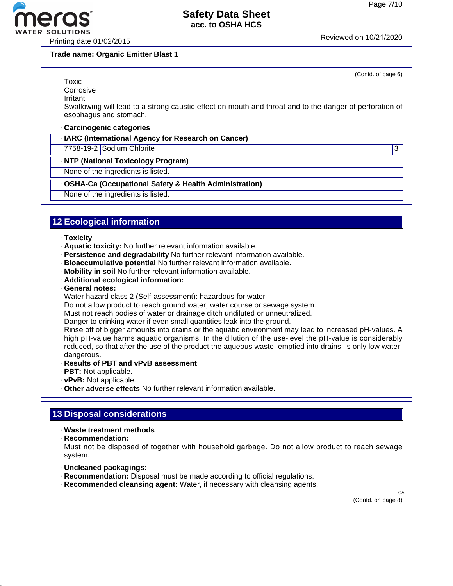

Printing date 01/02/2015 Reviewed on 10/21/20<sup>20</sup>

**Trade name: Organic Emitter Blast 1**

(Contd. of page 6)

**Toxic Corrosive** 

Irritant

Swallowing will lead to a strong caustic effect on mouth and throat and to the danger of perforation of esophagus and stomach.

#### · **Carcinogenic categories**

· **IARC (International Agency for Research on Cancer)**

7758-19-2 Sodium Chlorite 3

#### · **NTP (National Toxicology Program)**

None of the ingredients is listed.

#### · **OSHA-Ca (Occupational Safety & Health Administration)**

None of the ingredients is listed.

# **12 Ecological information**

#### · **Toxicity**

- · **Aquatic toxicity:** No further relevant information available.
- · **Persistence and degradability** No further relevant information available.
- · **Bioaccumulative potential** No further relevant information available.
- · **Mobility in soil** No further relevant information available.
- · **Additional ecological information:**
- · **General notes:**

Water hazard class 2 (Self-assessment): hazardous for water

Do not allow product to reach ground water, water course or sewage system.

Must not reach bodies of water or drainage ditch undiluted or unneutralized.

Danger to drinking water if even small quantities leak into the ground.

Rinse off of bigger amounts into drains or the aquatic environment may lead to increased pH-values. A high pH-value harms aquatic organisms. In the dilution of the use-level the pH-value is considerably reduced, so that after the use of the product the aqueous waste, emptied into drains, is only low waterdangerous.

#### · **Results of PBT and vPvB assessment**

- · **PBT:** Not applicable.
- · **vPvB:** Not applicable.
- · **Other adverse effects** No further relevant information available.

# **13 Disposal considerations**

- · **Waste treatment methods**
- · **Recommendation:**

Must not be disposed of together with household garbage. Do not allow product to reach sewage system.

- · **Uncleaned packagings:**
- · **Recommendation:** Disposal must be made according to official regulations.
- · **Recommended cleansing agent:** Water, if necessary with cleansing agents.

(Contd. on page 8)

CA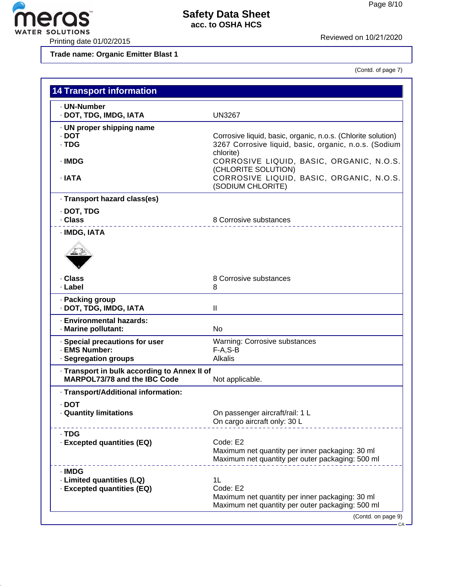

**Trade name: Organic Emitter Blast 1**

(Contd. of page 7)

| <b>UN3267</b>                                                                                                                      |  |
|------------------------------------------------------------------------------------------------------------------------------------|--|
| Corrosive liquid, basic, organic, n.o.s. (Chlorite solution)<br>3267 Corrosive liquid, basic, organic, n.o.s. (Sodium<br>chlorite) |  |
| CORROSIVE LIQUID, BASIC, ORGANIC, N.O.S.<br>(CHLORITE SOLUTION)                                                                    |  |
| CORROSIVE LIQUID, BASIC, ORGANIC, N.O.S.<br>(SODIUM CHLORITE)                                                                      |  |
|                                                                                                                                    |  |
| 8 Corrosive substances                                                                                                             |  |
|                                                                                                                                    |  |
| 8 Corrosive substances<br>8                                                                                                        |  |
| $\ensuremath{\mathsf{II}}$                                                                                                         |  |
| No                                                                                                                                 |  |
| <b>Warning: Corrosive substances</b><br>$F-A, S-B$                                                                                 |  |
| <b>Alkalis</b>                                                                                                                     |  |
| · Transport in bulk according to Annex II of<br>Not applicable.                                                                    |  |
|                                                                                                                                    |  |
| On passenger aircraft/rail: 1 L<br>On cargo aircraft only: 30 L                                                                    |  |
| Code: E2<br>Maximum net quantity per inner packaging: 30 ml<br>Maximum net quantity per outer packaging: 500 ml                    |  |
| 1L<br>Code: E2<br>Maximum net quantity per inner packaging: 30 ml<br>Maximum net quantity per outer packaging: 500 ml              |  |
|                                                                                                                                    |  |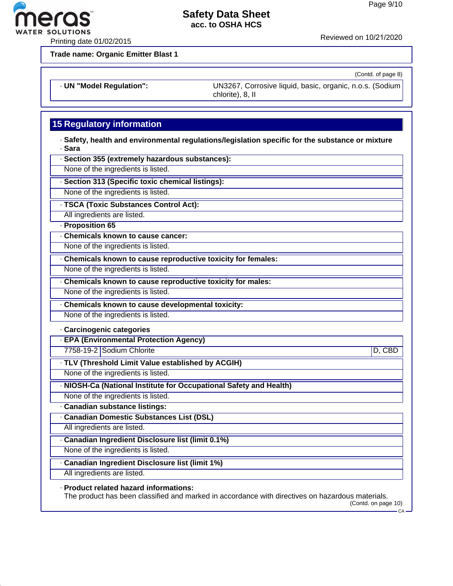

Printing date 01/02/2015 **Reviewed on 10/21/2020** 

**Trade name: Organic Emitter Blast 1**

eros **ER SOLUTIONS** 

(Contd. of page 8)

· **UN "Model Regulation":** UN3267, Corrosive liquid, basic, organic, n.o.s. (Sodium

chlorite), 8, II

# **15 Regulatory information**

· **Safety, health and environmental regulations/legislation specific for the substance or mixture** · **Sara**

· **Section 355 (extremely hazardous substances):**

None of the ingredients is listed.

· **Section 313 (Specific toxic chemical listings):**

None of the ingredients is listed.

· **TSCA (Toxic Substances Control Act):**

All ingredients are listed.

· **Proposition 65**

· **Chemicals known to cause cancer:**

None of the ingredients is listed.

· **Chemicals known to cause reproductive toxicity for females:**

None of the ingredients is listed.

· **Chemicals known to cause reproductive toxicity for males:**

None of the ingredients is listed.

· **Chemicals known to cause developmental toxicity:**

None of the ingredients is listed.

· **Carcinogenic categories**

· **EPA (Environmental Protection Agency)**

7758-19-2 Sodium Chlorite D, CBD

· **TLV (Threshold Limit Value established by ACGIH)**

None of the ingredients is listed.

· **NIOSH-Ca (National Institute for Occupational Safety and Health)**

None of the ingredients is listed.

· **Canadian substance listings:**

· **Canadian Domestic Substances List (DSL)**

All ingredients are listed.

· **Canadian Ingredient Disclosure list (limit 0.1%)**

None of the ingredients is listed.

· **Canadian Ingredient Disclosure list (limit 1%)**

All ingredients are listed.

· **Product related hazard informations:**

The product has been classified and marked in accordance with directives on hazardous materials.

(Contd. on page 10)